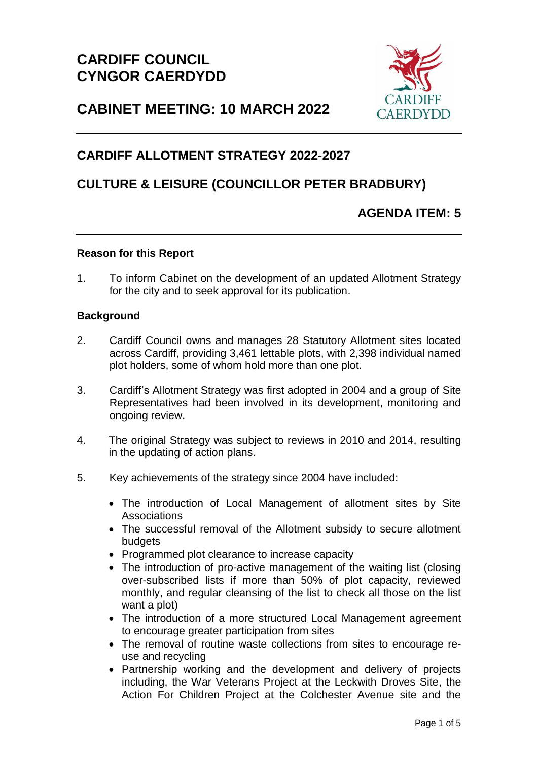

# **CABINET MEETING: 10 MARCH 2022**

# **CARDIFF ALLOTMENT STRATEGY 2022-2027**

# **CULTURE & LEISURE (COUNCILLOR PETER BRADBURY)**

# **AGENDA ITEM: 5**

### **Reason for this Report**

1. To inform Cabinet on the development of an updated Allotment Strategy for the city and to seek approval for its publication.

### **Background**

- 2. Cardiff Council owns and manages 28 Statutory Allotment sites located across Cardiff, providing 3,461 lettable plots, with 2,398 individual named plot holders, some of whom hold more than one plot.
- 3. Cardiff's Allotment Strategy was first adopted in 2004 and a group of Site Representatives had been involved in its development, monitoring and ongoing review.
- 4. The original Strategy was subject to reviews in 2010 and 2014, resulting in the updating of action plans.
- 5. Key achievements of the strategy since 2004 have included:
	- The introduction of Local Management of allotment sites by Site **Associations**
	- The successful removal of the Allotment subsidy to secure allotment **budgets**
	- Programmed plot clearance to increase capacity
	- The introduction of pro-active management of the waiting list (closing over-subscribed lists if more than 50% of plot capacity, reviewed monthly, and regular cleansing of the list to check all those on the list want a plot)
	- The introduction of a more structured Local Management agreement to encourage greater participation from sites
	- The removal of routine waste collections from sites to encourage reuse and recycling
	- Partnership working and the development and delivery of projects including, the War Veterans Project at the Leckwith Droves Site, the Action For Children Project at the Colchester Avenue site and the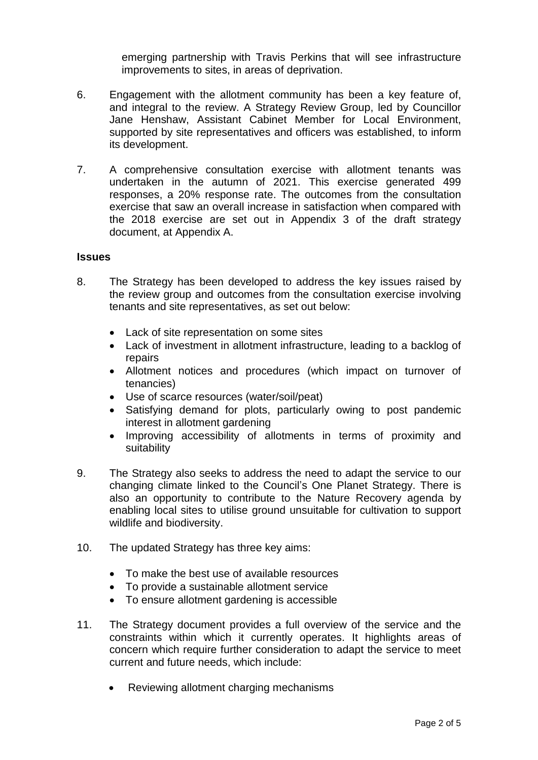emerging partnership with Travis Perkins that will see infrastructure improvements to sites, in areas of deprivation.

- 6. Engagement with the allotment community has been a key feature of, and integral to the review. A Strategy Review Group, led by Councillor Jane Henshaw, Assistant Cabinet Member for Local Environment, supported by site representatives and officers was established, to inform its development.
- 7. A comprehensive consultation exercise with allotment tenants was undertaken in the autumn of 2021. This exercise generated 499 responses, a 20% response rate. The outcomes from the consultation exercise that saw an overall increase in satisfaction when compared with the 2018 exercise are set out in Appendix 3 of the draft strategy document, at Appendix A.

#### **Issues**

- 8. The Strategy has been developed to address the key issues raised by the review group and outcomes from the consultation exercise involving tenants and site representatives, as set out below:
	- Lack of site representation on some sites
	- Lack of investment in allotment infrastructure, leading to a backlog of repairs
	- Allotment notices and procedures (which impact on turnover of tenancies)
	- Use of scarce resources (water/soil/peat)
	- Satisfying demand for plots, particularly owing to post pandemic interest in allotment gardening
	- Improving accessibility of allotments in terms of proximity and suitability
- 9. The Strategy also seeks to address the need to adapt the service to our changing climate linked to the Council's One Planet Strategy. There is also an opportunity to contribute to the Nature Recovery agenda by enabling local sites to utilise ground unsuitable for cultivation to support wildlife and biodiversity.
- 10. The updated Strategy has three key aims:
	- To make the best use of available resources
	- To provide a sustainable allotment service
	- To ensure allotment gardening is accessible
- 11. The Strategy document provides a full overview of the service and the constraints within which it currently operates. It highlights areas of concern which require further consideration to adapt the service to meet current and future needs, which include:
	- Reviewing allotment charging mechanisms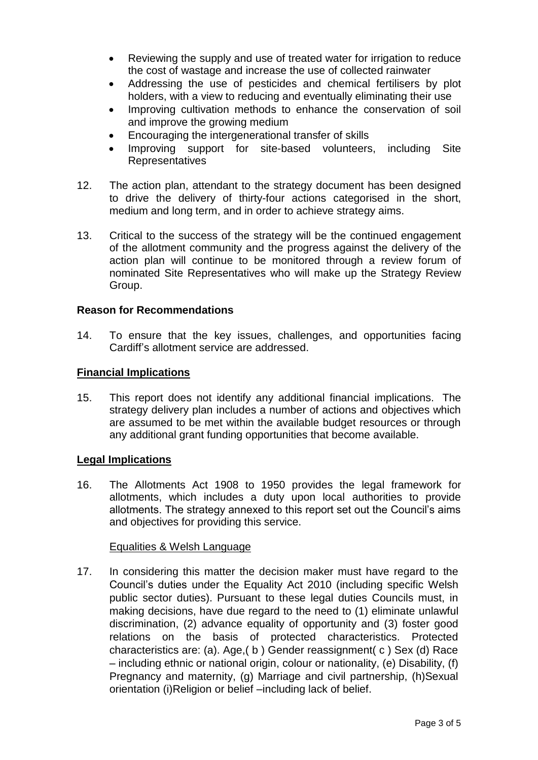- Reviewing the supply and use of treated water for irrigation to reduce the cost of wastage and increase the use of collected rainwater
- Addressing the use of pesticides and chemical fertilisers by plot holders, with a view to reducing and eventually eliminating their use
- Improving cultivation methods to enhance the conservation of soil and improve the growing medium
- Encouraging the intergenerational transfer of skills
- Improving support for site-based volunteers, including Site Representatives
- 12. The action plan, attendant to the strategy document has been designed to drive the delivery of thirty-four actions categorised in the short, medium and long term, and in order to achieve strategy aims.
- 13. Critical to the success of the strategy will be the continued engagement of the allotment community and the progress against the delivery of the action plan will continue to be monitored through a review forum of nominated Site Representatives who will make up the Strategy Review Group.

# **Reason for Recommendations**

14. To ensure that the key issues, challenges, and opportunities facing Cardiff's allotment service are addressed.

# **Financial Implications**

15. This report does not identify any additional financial implications. The strategy delivery plan includes a number of actions and objectives which are assumed to be met within the available budget resources or through any additional grant funding opportunities that become available.

# **Legal Implications**

16. The Allotments Act 1908 to 1950 provides the legal framework for allotments, which includes a duty upon local authorities to provide allotments. The strategy annexed to this report set out the Council's aims and objectives for providing this service.

# Equalities & Welsh Language

17. In considering this matter the decision maker must have regard to the Council's duties under the Equality Act 2010 (including specific Welsh public sector duties). Pursuant to these legal duties Councils must, in making decisions, have due regard to the need to (1) eliminate unlawful discrimination, (2) advance equality of opportunity and (3) foster good relations on the basis of protected characteristics. Protected characteristics are: (a). Age,( b ) Gender reassignment( c ) Sex (d) Race – including ethnic or national origin, colour or nationality, (e) Disability, (f) Pregnancy and maternity, (g) Marriage and civil partnership, (h)Sexual orientation (i)Religion or belief –including lack of belief.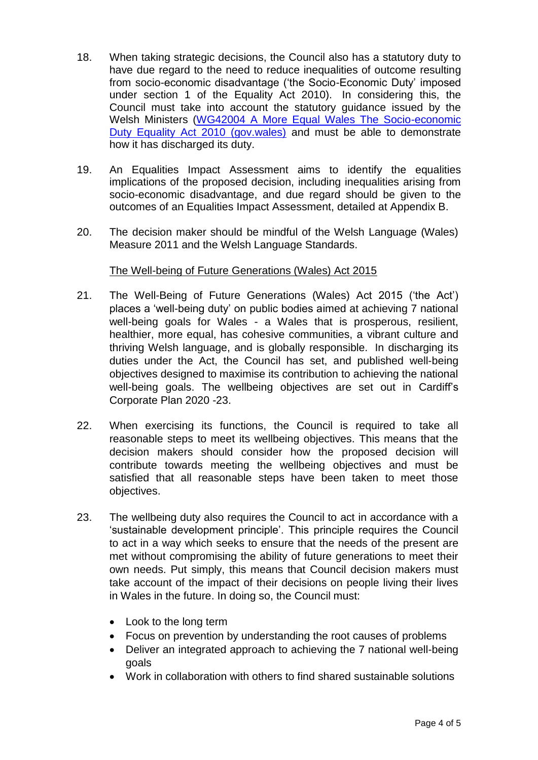- 18. When taking strategic decisions, the Council also has a statutory duty to have due regard to the need to reduce inequalities of outcome resulting from socio-economic disadvantage ('the Socio-Economic Duty' imposed under section 1 of the Equality Act 2010). In considering this, the Council must take into account the statutory guidance issued by the Welsh Ministers [\(WG42004 A More Equal Wales The Socio-economic](https://gov.wales/sites/default/files/publications/2021-03/a-more-equal-wales.pdf)  [Duty Equality Act 2010 \(gov.wales\)](https://gov.wales/sites/default/files/publications/2021-03/a-more-equal-wales.pdf) and must be able to demonstrate how it has discharged its duty.
- 19. An Equalities Impact Assessment aims to identify the equalities implications of the proposed decision, including inequalities arising from socio-economic disadvantage, and due regard should be given to the outcomes of an Equalities Impact Assessment, detailed at Appendix B.
- 20. The decision maker should be mindful of the Welsh Language (Wales) Measure 2011 and the Welsh Language Standards.

# The Well-being of Future Generations (Wales) Act 2015

- 21. The Well-Being of Future Generations (Wales) Act 2015 ('the Act') places a 'well-being duty' on public bodies aimed at achieving 7 national well-being goals for Wales - a Wales that is prosperous, resilient, healthier, more equal, has cohesive communities, a vibrant culture and thriving Welsh language, and is globally responsible. In discharging its duties under the Act, the Council has set, and published well-being objectives designed to maximise its contribution to achieving the national well-being goals. The wellbeing objectives are set out in Cardiff's Corporate Plan 2020 -23.
- 22. When exercising its functions, the Council is required to take all reasonable steps to meet its wellbeing objectives. This means that the decision makers should consider how the proposed decision will contribute towards meeting the wellbeing objectives and must be satisfied that all reasonable steps have been taken to meet those objectives.
- 23. The wellbeing duty also requires the Council to act in accordance with a 'sustainable development principle'. This principle requires the Council to act in a way which seeks to ensure that the needs of the present are met without compromising the ability of future generations to meet their own needs. Put simply, this means that Council decision makers must take account of the impact of their decisions on people living their lives in Wales in the future. In doing so, the Council must:
	- Look to the long term
	- Focus on prevention by understanding the root causes of problems
	- Deliver an integrated approach to achieving the 7 national well-being goals
	- Work in collaboration with others to find shared sustainable solutions